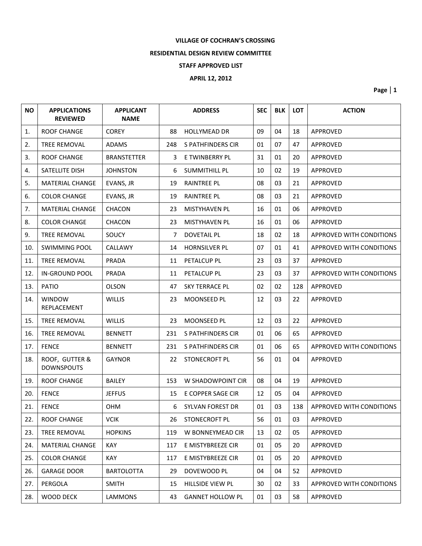## **VILLAGE OF COCHRAN'S CROSSING**

## **RESIDENTIAL DESIGN REVIEW COMMITTEE**

### **STAFF APPROVED LIST**

## **APRIL 12, 2012**

**Page | 1**

| <b>NO</b> | <b>APPLICATIONS</b><br><b>REVIEWED</b> | <b>APPLICANT</b><br><b>NAME</b> |     | <b>ADDRESS</b>          | <b>SEC</b> | <b>BLK</b> | <b>LOT</b> | <b>ACTION</b>            |
|-----------|----------------------------------------|---------------------------------|-----|-------------------------|------------|------------|------------|--------------------------|
| 1.        | ROOF CHANGE                            | <b>COREY</b>                    | 88  | <b>HOLLYMEAD DR</b>     | 09         | 04         | 18         | APPROVED                 |
| 2.        | <b>TREE REMOVAL</b>                    | <b>ADAMS</b>                    | 248 | S PATHFINDERS CIR       | 01         | 07         | 47         | APPROVED                 |
| 3.        | ROOF CHANGE                            | <b>BRANSTETTER</b>              | 3   | E TWINBERRY PL          | 31         | 01         | 20         | APPROVED                 |
| 4.        | SATELLITE DISH                         | <b>JOHNSTON</b>                 | 6   | <b>SUMMITHILL PL</b>    | 10         | 02         | 19         | APPROVED                 |
| 5.        | <b>MATERIAL CHANGE</b>                 | EVANS, JR                       | 19  | <b>RAINTREE PL</b>      | 08         | 03         | 21         | APPROVED                 |
| 6.        | <b>COLOR CHANGE</b>                    | EVANS, JR                       | 19  | <b>RAINTREE PL</b>      | 08         | 03         | 21         | <b>APPROVED</b>          |
| 7.        | <b>MATERIAL CHANGE</b>                 | CHACON                          | 23  | <b>MISTYHAVEN PL</b>    | 16         | 01         | 06         | APPROVED                 |
| 8.        | <b>COLOR CHANGE</b>                    | <b>CHACON</b>                   | 23  | <b>MISTYHAVEN PL</b>    | 16         | 01         | 06         | APPROVED                 |
| 9.        | <b>TREE REMOVAL</b>                    | SOUCY                           | 7   | <b>DOVETAIL PL</b>      | 18         | 02         | 18         | APPROVED WITH CONDITIONS |
| 10.       | <b>SWIMMING POOL</b>                   | <b>CALLAWY</b>                  | 14  | <b>HORNSILVER PL</b>    | 07         | 01         | 41         | APPROVED WITH CONDITIONS |
| 11.       | <b>TREE REMOVAL</b>                    | PRADA                           | 11  | PETALCUP PL             | 23         | 03         | 37         | APPROVED                 |
| 12.       | <b>IN-GROUND POOL</b>                  | <b>PRADA</b>                    | 11  | PETALCUP PL             | 23         | 03         | 37         | APPROVED WITH CONDITIONS |
| 13.       | PATIO                                  | <b>OLSON</b>                    | 47  | <b>SKY TERRACE PL</b>   | 02         | 02         | 128        | APPROVED                 |
| 14.       | <b>WINDOW</b><br>REPLACEMENT           | <b>WILLIS</b>                   | 23  | MOONSEED PL             | 12         | 03         | 22         | <b>APPROVED</b>          |
| 15.       | <b>TREE REMOVAL</b>                    | <b>WILLIS</b>                   | 23  | MOONSEED PL             | 12         | 03         | 22         | APPROVED                 |
| 16.       | <b>TREE REMOVAL</b>                    | <b>BENNETT</b>                  | 231 | S PATHFINDERS CIR       | 01         | 06         | 65         | APPROVED                 |
| 17.       | <b>FENCE</b>                           | <b>BENNETT</b>                  | 231 | S PATHFINDERS CIR       | 01         | 06         | 65         | APPROVED WITH CONDITIONS |
| 18.       | ROOF, GUTTER &<br><b>DOWNSPOUTS</b>    | <b>GAYNOR</b>                   | 22  | <b>STONECROFT PL</b>    | 56         | 01         | 04         | APPROVED                 |
| 19.       | <b>ROOF CHANGE</b>                     | <b>BAILEY</b>                   | 153 | W SHADOWPOINT CIR       | 08         | 04         | 19         | APPROVED                 |
| 20.       | <b>FENCE</b>                           | <b>JEFFUS</b>                   | 15  | E COPPER SAGE CIR       | 12         | 05         | 04         | APPROVED                 |
| 21.       | <b>FENCE</b>                           | <b>OHM</b>                      | 6   | <b>SYLVAN FOREST DR</b> | 01         | 03         | 138        | APPROVED WITH CONDITIONS |
| 22.       | ROOF CHANGE                            | <b>VCIK</b>                     | 26  | STONECROFT PL           | 56         | 01         | 03         | APPROVED                 |
| 23.       | TREE REMOVAL                           | <b>HOPKINS</b>                  | 119 | W BONNEYMEAD CIR        | 13         | 02         | 05         | APPROVED                 |
| 24.       | <b>MATERIAL CHANGE</b>                 | <b>KAY</b>                      | 117 | E MISTYBREEZE CIR       | 01         | 05         | 20         | APPROVED                 |
| 25.       | <b>COLOR CHANGE</b>                    | <b>KAY</b>                      | 117 | E MISTYBREEZE CIR       | 01         | 05         | 20         | APPROVED                 |
| 26.       | <b>GARAGE DOOR</b>                     | <b>BARTOLOTTA</b>               | 29  | DOVEWOOD PL             | 04         | 04         | 52         | APPROVED                 |
| 27.       | PERGOLA                                | <b>SMITH</b>                    | 15  | HILLSIDE VIEW PL        | 30         | 02         | 33         | APPROVED WITH CONDITIONS |
| 28.       | WOOD DECK                              | LAMMONS                         | 43  | <b>GANNET HOLLOW PL</b> | 01         | 03         | 58         | APPROVED                 |